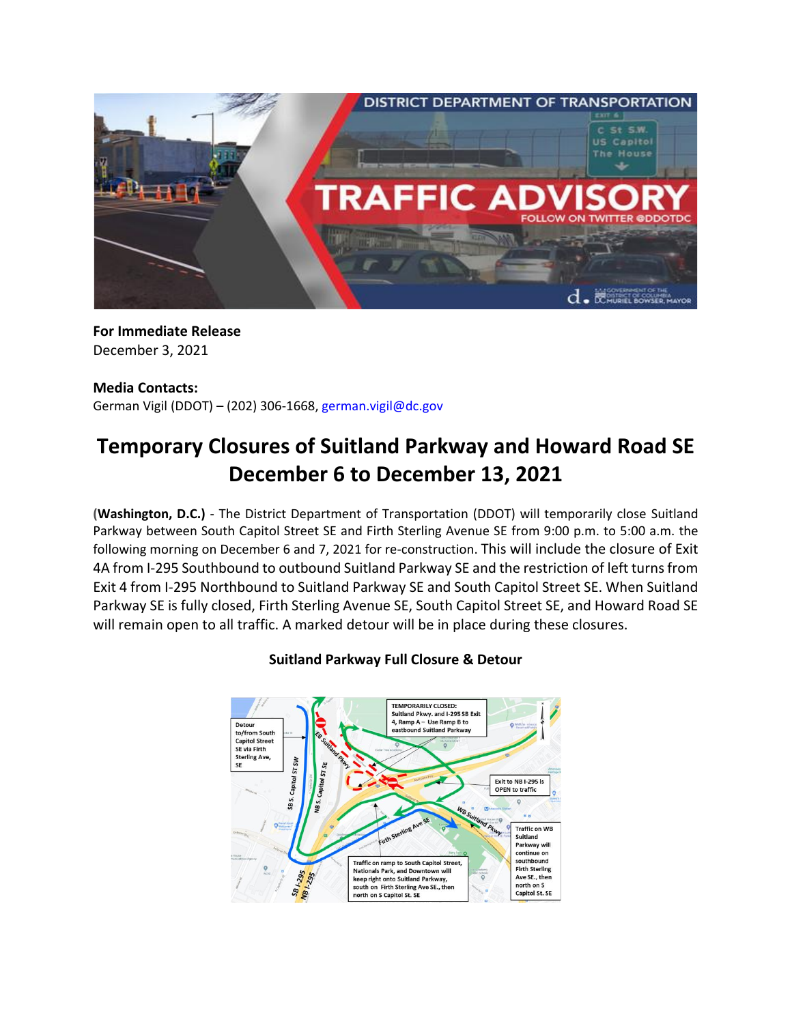

**For Immediate Release** December 3, 2021

### **Media Contacts:**

German Vigil (DDOT) – (202) 306-1668, [german.vigil@dc.gov](mailto:german.vigil@dc.gov)

# **Temporary Closures of Suitland Parkway and Howard Road SE December 6 to December 13, 2021**

**(Washington, D.C.)** - The District Department of Transportation (DDOT) will temporarily close Suitland Parkway between South Capitol Street SE and Firth Sterling Avenue SE from 9:00 p.m. to 5:00 a.m. the following morning on December 6 and 7, 2021 for re-construction. This will include the closure of Exit 4A from I-295 Southbound to outbound Suitland Parkway SE and the restriction of left turns from Exit 4 from I-295 Northbound to Suitland Parkway SE and South Capitol Street SE. When Suitland Parkway SE is fully closed, Firth Sterling Avenue SE, South Capitol Street SE, and Howard Road SE will remain open to all traffic. A marked detour will be in place during these closures.



## **Suitland Parkway Full Closure & Detour**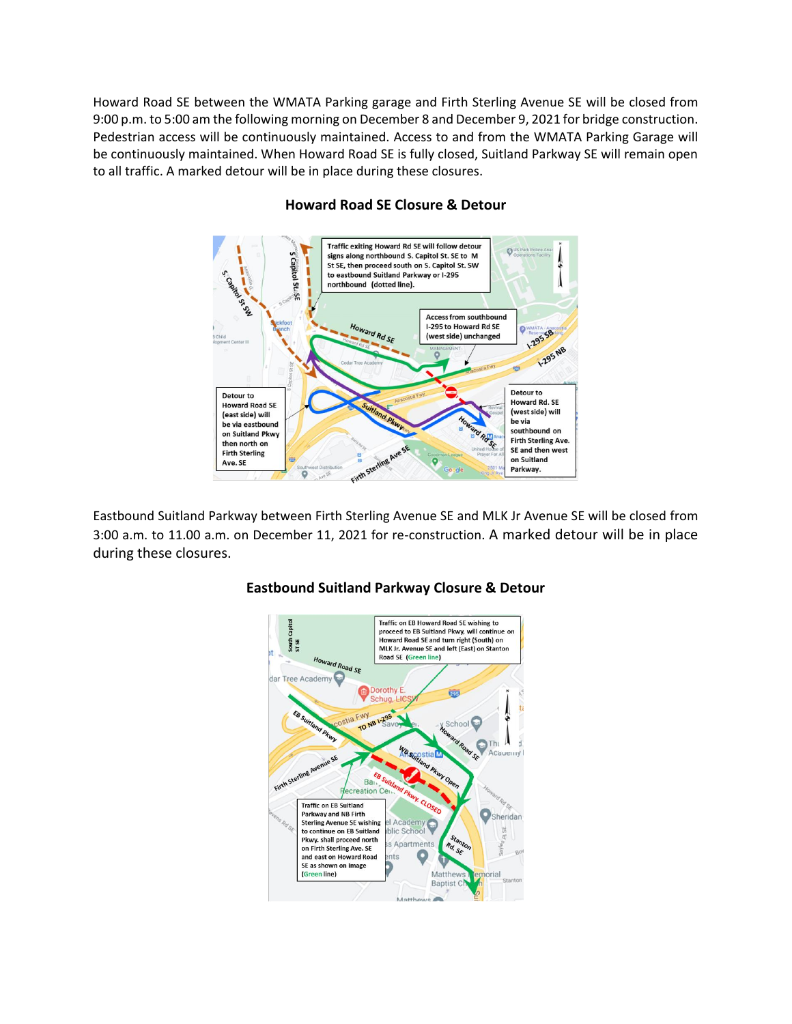Howard Road SE between the WMATA Parking garage and Firth Sterling Avenue SE will be closed from 9:00 p.m. to 5:00 am the following morning on December 8 and December 9, 2021 for bridge construction. Pedestrian access will be continuously maintained. Access to and from the WMATA Parking Garage will be continuously maintained. When Howard Road SE is fully closed, Suitland Parkway SE will remain open to all traffic. A marked detour will be in place during these closures.



## **Howard Road SE Closure & Detour**

Eastbound Suitland Parkway between Firth Sterling Avenue SE and MLK Jr Avenue SE will be closed from 3:00 a.m. to 11.00 a.m. on December 11, 2021 for re-construction. A marked detour will be in place during these closures.



### **Eastbound Suitland Parkway Closure & Detour**